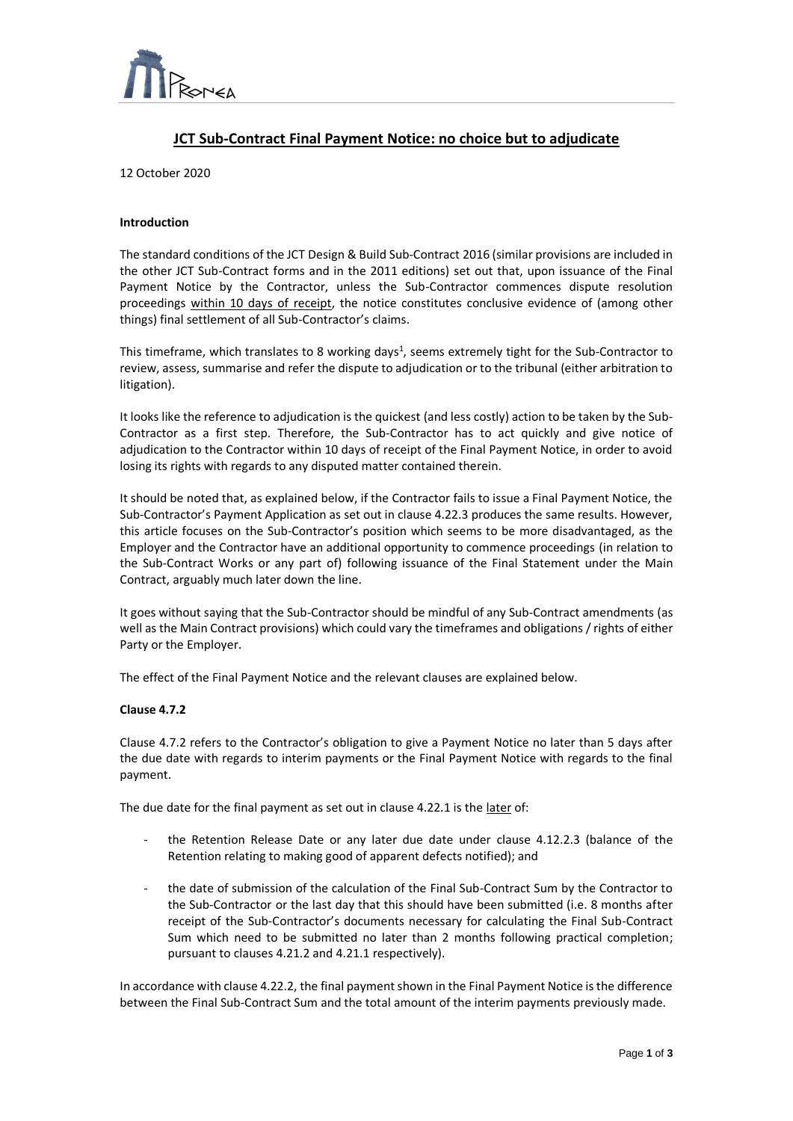

# **JCT Sub-Contract Final Payment Notice: no choice but to adjudicate**

 $\overline{a}$ 

12 October 2020

# **Introduction**

The standard conditions of the JCT Design & Build Sub-Contract 2016 (similar provisions are included in the other JCT Sub-Contract forms and in the 2011 editions) set out that, upon issuance of the Final Payment Notice by the Contractor, unless the Sub-Contractor commences dispute resolution proceedings within 10 days of receipt, the notice constitutes conclusive evidence of (among other things) final settlement of all Sub-Contractor's claims.

This timeframe, which translates to 8 working days<sup>1</sup>, seems extremely tight for the Sub-Contractor to review, assess, summarise and refer the dispute to adjudication or to the tribunal (either arbitration to litigation).

It looks like the reference to adjudication is the quickest (and less costly) action to be taken by the Sub-Contractor as a first step. Therefore, the Sub-Contractor has to act quickly and give notice of adjudication to the Contractor within 10 days of receipt of the Final Payment Notice, in order to avoid losing its rights with regards to any disputed matter contained therein.

It should be noted that, as explained below, if the Contractor fails to issue a Final Payment Notice, the Sub-Contractor's Payment Application as set out in clause 4.22.3 produces the same results. However, this article focuses on the Sub-Contractor's position which seems to be more disadvantaged, as the Employer and the Contractor have an additional opportunity to commence proceedings (in relation to the Sub-Contract Works or any part of) following issuance of the Final Statement under the Main Contract, arguably much later down the line.

It goes without saying that the Sub-Contractor should be mindful of any Sub-Contract amendments (as well as the Main Contract provisions) which could vary the timeframes and obligations / rights of either Party or the Employer.

The effect of the Final Payment Notice and the relevant clauses are explained below.

# **Clause 4.7.2**

Clause 4.7.2 refers to the Contractor's obligation to give a Payment Notice no later than 5 days after the due date with regards to interim payments or the Final Payment Notice with regards to the final payment.

The due date for the final payment as set out in clause 4.22.1 is the later of:

- the Retention Release Date or any later due date under clause 4.12.2.3 (balance of the Retention relating to making good of apparent defects notified); and
- the date of submission of the calculation of the Final Sub-Contract Sum by the Contractor to the Sub-Contractor or the last day that this should have been submitted (i.e. 8 months after receipt of the Sub-Contractor's documents necessary for calculating the Final Sub-Contract Sum which need to be submitted no later than 2 months following practical completion; pursuant to clauses 4.21.2 and 4.21.1 respectively).

In accordance with clause 4.22.2, the final payment shown in the Final Payment Notice is the difference between the Final Sub-Contract Sum and the total amount of the interim payments previously made.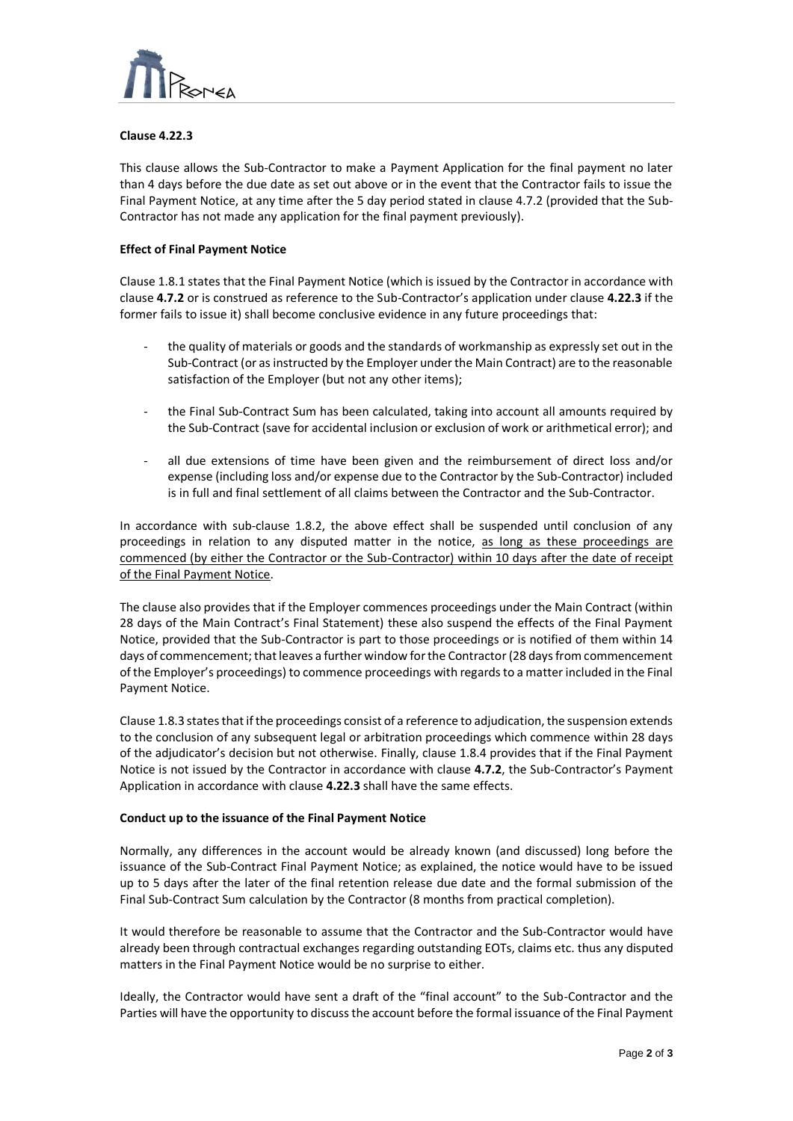

# **Clause 4.22.3**

This clause allows the Sub-Contractor to make a Payment Application for the final payment no later than 4 days before the due date as set out above or in the event that the Contractor fails to issue the Final Payment Notice, at any time after the 5 day period stated in clause 4.7.2 (provided that the Sub-Contractor has not made any application for the final payment previously).

 $\overline{a}$ 

# **Effect of Final Payment Notice**

Clause 1.8.1 states that the Final Payment Notice (which is issued by the Contractor in accordance with clause **4.7.2** or is construed as reference to the Sub-Contractor's application under clause **4.22.3** if the former fails to issue it) shall become conclusive evidence in any future proceedings that:

- the quality of materials or goods and the standards of workmanship as expressly set out in the Sub-Contract (or as instructed by the Employer under the Main Contract) are to the reasonable satisfaction of the Employer (but not any other items);
- the Final Sub-Contract Sum has been calculated, taking into account all amounts required by the Sub-Contract (save for accidental inclusion or exclusion of work or arithmetical error); and
- all due extensions of time have been given and the reimbursement of direct loss and/or expense (including loss and/or expense due to the Contractor by the Sub-Contractor) included is in full and final settlement of all claims between the Contractor and the Sub-Contractor.

In accordance with sub-clause 1.8.2, the above effect shall be suspended until conclusion of any proceedings in relation to any disputed matter in the notice, as long as these proceedings are commenced (by either the Contractor or the Sub-Contractor) within 10 days after the date of receipt of the Final Payment Notice.

The clause also provides that if the Employer commences proceedings under the Main Contract (within 28 days of the Main Contract's Final Statement) these also suspend the effects of the Final Payment Notice, provided that the Sub-Contractor is part to those proceedings or is notified of them within 14 days of commencement; that leaves a further window for the Contractor (28 days from commencement of the Employer's proceedings) to commence proceedings with regards to a matter included in the Final Payment Notice.

Clause 1.8.3 states that if the proceedings consist of a reference to adjudication, the suspension extends to the conclusion of any subsequent legal or arbitration proceedings which commence within 28 days of the adjudicator's decision but not otherwise. Finally, clause 1.8.4 provides that if the Final Payment Notice is not issued by the Contractor in accordance with clause **4.7.2**, the Sub-Contractor's Payment Application in accordance with clause **4.22.3** shall have the same effects.

# **Conduct up to the issuance of the Final Payment Notice**

Normally, any differences in the account would be already known (and discussed) long before the issuance of the Sub-Contract Final Payment Notice; as explained, the notice would have to be issued up to 5 days after the later of the final retention release due date and the formal submission of the Final Sub-Contract Sum calculation by the Contractor (8 months from practical completion).

It would therefore be reasonable to assume that the Contractor and the Sub-Contractor would have already been through contractual exchanges regarding outstanding EOTs, claims etc. thus any disputed matters in the Final Payment Notice would be no surprise to either.

Ideally, the Contractor would have sent a draft of the "final account" to the Sub-Contractor and the Parties will have the opportunity to discuss the account before the formal issuance of the Final Payment